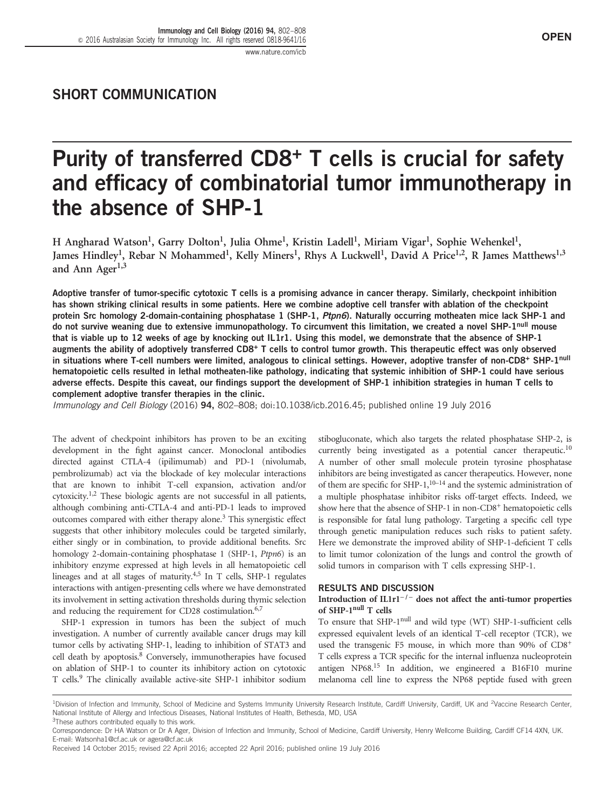# SHORT COMMUNICATION

# Purity of transferred CD8<sup>+</sup> T cells is crucial for safety and efficacy of combinatorial tumor immunotherapy in the absence of SHP-1

H Angharad Watson<sup>1</sup>, Garry Dolton<sup>1</sup>, Julia Ohme<sup>1</sup>, Kristin Ladell<sup>1</sup>, Miriam Vigar<sup>1</sup>, Sophie Wehenkel<sup>1</sup>, James Hindley<sup>1</sup>, Rebar N Mohammed<sup>1</sup>, Kelly Miners<sup>1</sup>, Rhys A Luckwell<sup>1</sup>, David A Price<sup>1,2</sup>, R James Matthews<sup>1,3</sup> and Ann Ager<sup>1,3</sup>

Adoptive transfer of tumor-specific cytotoxic T cells is a promising advance in cancer therapy. Similarly, checkpoint inhibition has shown striking clinical results in some patients. Here we combine adoptive cell transfer with ablation of the checkpoint protein Src homology 2-domain-containing phosphatase 1 (SHP-1, Ptpn6). Naturally occurring motheaten mice lack SHP-1 and do not survive weaning due to extensive immunopathology. To circumvent this limitation, we created a novel SHP-1null mouse that is viable up to 12 weeks of age by knocking out IL1r1. Using this model, we demonstrate that the absence of SHP-1 augments the ability of adoptively transferred CD8<sup>+</sup> T cells to control tumor growth. This therapeutic effect was only observed in situations where T-cell numbers were limited, analogous to clinical settings. However, adoptive transfer of non-CD8+ SHP-1<sup>null</sup> hematopoietic cells resulted in lethal motheaten-like pathology, indicating that systemic inhibition of SHP-1 could have serious adverse effects. Despite this caveat, our findings support the development of SHP-1 inhibition strategies in human T cells to complement adoptive transfer therapies in the clinic.

Immunology and Cell Biology (2016) 94, 802–808; doi[:10.1038/icb.2016.45;](http://dx.doi.org/10.1038/icb.2016.45) published online 19 July 2016

The advent of checkpoint inhibitors has proven to be an exciting development in the fight against cancer. Monoclonal antibodies directed against CTLA-4 (ipilimumab) and PD-1 (nivolumab, pembrolizumab) act via the blockade of key molecular interactions that are known to inhibit T-cell expansion, activation and/or  $cytoxicity<sup>1,2</sup>$  $cytoxicity<sup>1,2</sup>$  $cytoxicity<sup>1,2</sup>$  These biologic agents are not successful in all patients, although combining anti-CTLA-4 and anti-PD-1 leads to improved outcomes compared with either therapy alone[.3](#page-5-0) This synergistic effect suggests that other inhibitory molecules could be targeted similarly, either singly or in combination, to provide additional benefits. Src homology 2-domain-containing phosphatase 1 (SHP-1, Ptpn6) is an inhibitory enzyme expressed at high levels in all hematopoietic cell lineages and at all stages of maturity.<sup>[4,5](#page-5-0)</sup> In T cells, SHP-1 regulates interactions with antigen-presenting cells where we have demonstrated its involvement in setting activation thresholds during thymic selection and reducing the requirement for CD28 costimulation.<sup>6,[7](#page-5-0)</sup>

SHP-1 expression in tumors has been the subject of much investigation. A number of currently available cancer drugs may kill tumor cells by activating SHP-1, leading to inhibition of STAT3 and cell death by apoptosis.<sup>8</sup> Conversely, immunotherapies have focused on ablation of SHP-1 to counter its inhibitory action on cytotoxic T cells.[9](#page-5-0) The clinically available active-site SHP-1 inhibitor sodium

stibogluconate, which also targets the related phosphatase SHP-2, is currently being investigated as a potential cancer therapeutic.<sup>10</sup> A number of other small molecule protein tyrosine phosphatase inhibitors are being investigated as cancer therapeutics. However, none of them are specific for SHP-1,<sup>10–[14](#page-5-0)</sup> and the systemic administration of a multiple phosphatase inhibitor risks off-target effects. Indeed, we show here that the absence of SHP-1 in non-CD8<sup>+</sup> hematopoietic cells is responsible for fatal lung pathology. Targeting a specific cell type through genetic manipulation reduces such risks to patient safety. Here we demonstrate the improved ability of SHP-1-deficient T cells to limit tumor colonization of the lungs and control the growth of solid tumors in comparison with T cells expressing SHP-1.

#### RESULTS AND DISCUSSION

# Introduction of IL1r1<sup> $-/-$ </sup> does not affect the anti-tumor properties of SHP-1null T cells

To ensure that SHP-1<sup>null</sup> and wild type (WT) SHP-1-sufficient cells expressed equivalent levels of an identical T-cell receptor (TCR), we used the transgenic F5 mouse, in which more than 90% of CD8+ T cells express a TCR specific for the internal influenza nucleoprotein antigen NP68[.15](#page-6-0) In addition, we engineered a B16F10 murine melanoma cell line to express the NP68 peptide fused with green

<sup>&</sup>lt;sup>1</sup>Division of Infection and Immunity, School of Medicine and Systems Immunity University Research Institute, Cardiff University, Cardiff, UK and <sup>2</sup>Vaccine Research Center, National Institute of Allergy and Infectious Diseases, National Institutes of Health, Bethesda, MD, USA

<sup>&</sup>lt;sup>3</sup>These authors contributed equally to this work.

Correspondence: Dr HA Watson or Dr A Ager, Division of Infection and Immunity, School of Medicine, Cardiff University, Henry Wellcome Building, Cardiff CF14 4XN, UK. E-mail: [Watsonha1@cf.ac.uk](mailto:Watsonha1@cf.ac.uk) or [agera@cf.ac.uk](mailto:agera@cf.ac.uk)

Received 14 October 2015; revised 22 April 2016; accepted 22 April 2016; published online 19 July 2016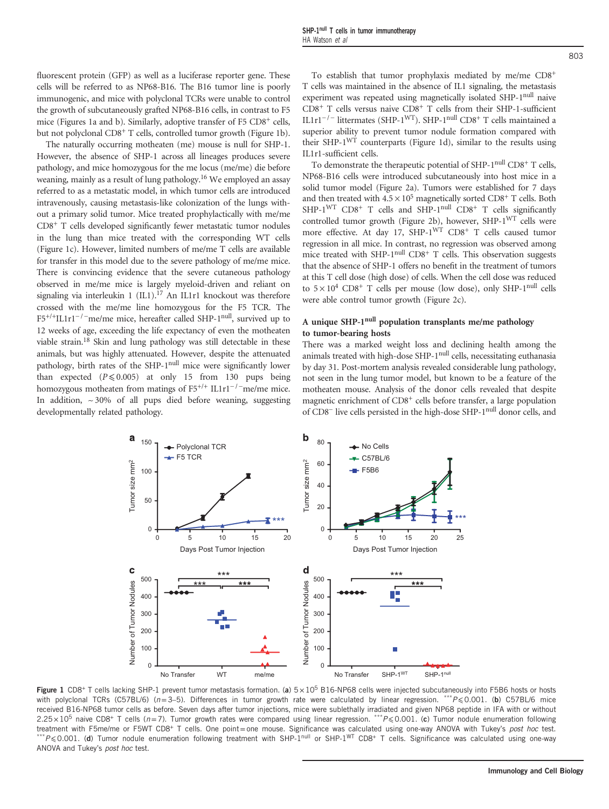fluorescent protein (GFP) as well as a luciferase reporter gene. These cells will be referred to as NP68-B16. The B16 tumor line is poorly immunogenic, and mice with polyclonal TCRs were unable to control the growth of subcutaneously grafted NP68-B16 cells, in contrast to F5 mice (Figures 1a and b). Similarly, adoptive transfer of F5 CD8+ cells, but not polyclonal CD8+ T cells, controlled tumor growth (Figure 1b).

The naturally occurring motheaten (me) mouse is null for SHP-1. However, the absence of SHP-1 across all lineages produces severe pathology, and mice homozygous for the me locus (me/me) die before weaning, mainly as a result of lung pathology[.16](#page-6-0) We employed an assay referred to as a metastatic model, in which tumor cells are introduced intravenously, causing metastasis-like colonization of the lungs without a primary solid tumor. Mice treated prophylactically with me/me CD8+ T cells developed significantly fewer metastatic tumor nodules in the lung than mice treated with the corresponding WT cells (Figure 1c). However, limited numbers of me/me T cells are available for transfer in this model due to the severe pathology of me/me mice. There is convincing evidence that the severe cutaneous pathology observed in me/me mice is largely myeloid-driven and reliant on signaling via interleukin 1  $(III).<sup>17</sup>$  An IL1r1 knockout was therefore crossed with the me/me line homozygous for the F5 TCR. The There is convincing evidence that the severe cutaneous pathology<br>observed in me/me mice is largely myeloid-driven and reliant on<br>signaling via interleukin 1 (IL1).<sup>17</sup> An IL1r1 knockout was therefore<br>crossed with the me/m 12 weeks of age, exceeding the life expectancy of even the motheaten viable strain[.18](#page-6-0) Skin and lung pathology was still detectable in these animals, but was highly attenuated. However, despite the attenuated pathology, birth rates of the SHP-1<sup>null</sup> mice were significantly lower than expected  $(P \le 0.005)$  at only 15 from 130 pups being homozygous motheaten from matings of F5<sup>+/+</sup> IL1r1<sup>-/-</sup>me/me mice. In addition,  $\sim$  30% of all pups died before weaning, suggesting developmentally related pathology.

To establish that tumor prophylaxis mediated by me/me CD8+ T cells was maintained in the absence of IL1 signaling, the metastasis experiment was repeated using magnetically isolated SHP-1<sup>null</sup> naive CD8+ T cells versus naive CD8+ T cells from their SHP-1-sufficient IL1r1−/ <sup>−</sup> littermates (SHP-1WT). SHP-1null CD8+ T cells maintained a superior ability to prevent tumor nodule formation compared with their SHP- $1^{WT}$  counterparts (Figure 1d), similar to the results using IL1r1-sufficient cells.

To demonstrate the therapeutic potential of SHP-1<sup>null</sup> CD8<sup>+</sup> T cells, NP68-B16 cells were introduced subcutaneously into host mice in a solid tumor model [\(Figure 2a\)](#page-2-0). Tumors were established for 7 days and then treated with  $4.5 \times 10^5$  magnetically sorted CD8<sup>+</sup> T cells. Both  $SHP-1<sup>WT</sup>$  CD8<sup>+</sup> T cells and  $SHP-1<sup>null</sup>$  CD8<sup>+</sup> T cells significantly controlled tumor growth [\(Figure 2b\)](#page-2-0), however,  $SHP-1<sup>WT</sup>$  cells were more effective. At day 17, SHP-1<sup>WT</sup> CD8<sup>+</sup> T cells caused tumor regression in all mice. In contrast, no regression was observed among mice treated with SHP-1<sup>null</sup> CD8<sup>+</sup> T cells. This observation suggests that the absence of SHP-1 offers no benefit in the treatment of tumors at this T cell dose (high dose) of cells. When the cell dose was reduced to  $5 \times 10^4$  CD8<sup>+</sup> T cells per mouse (low dose), only SHP-1<sup>null</sup> cells were able control tumor growth ([Figure 2c\)](#page-2-0).

# A unique SHP-1<sup>null</sup> population transplants me/me pathology to tumor-bearing hosts

There was a marked weight loss and declining health among the animals treated with high-dose SHP-1<sup>null</sup> cells, necessitating euthanasia by day 31. Post-mortem analysis revealed considerable lung pathology, not seen in the lung tumor model, but known to be a feature of the motheaten mouse. Analysis of the donor cells revealed that despite magnetic enrichment of CD8<sup>+</sup> cells before transfer, a large population of CD8<sup>−</sup> live cells persisted in the high-dose SHP-1null donor cells, and



Figure 1 CD8<sup>+</sup> T cells lacking SHP-1 prevent tumor metastasis formation. (a)  $5 \times 10^5$  B16-NP68 cells were injected subcutaneously into F5B6 hosts or hosts with polyclonal TCRs (C57BL/6) ( $n=3-5$ ). Differences in tumor growth rate were calculated by linear regression. \*\*\* $P \le 0.001$ . (b) C57BL/6 mice received B16-NP68 tumor cells as before. Seven days after tumor injections, mice were sublethally irradiated and given NP68 peptide in IFA with or without  $2.25 \times 10^5$  naive CD8<sup>+</sup> T cells (n=7). Tumor growth rates were compared using linear regression. \*\*\*P < 0.001. (c) Tumor nodule enumeration following treatment with F5me/me or F5WT CD8+ T cells. One point=one mouse. Significance was calculated using one-way ANOVA with Tukey's post hoc test.  $*P \le 0.001$ . (d) Tumor nodule enumeration following treatment with SHP-1<sup>null</sup> or SHP-1<sup>WT</sup> CD8<sup>+</sup> T cells. Significance was calculated using one-way ANOVA and Tukey's post hoc test.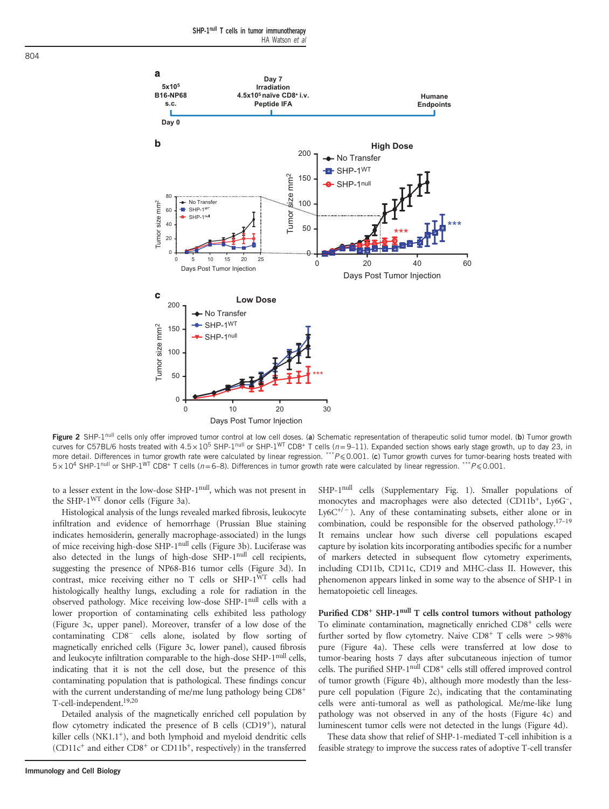<span id="page-2-0"></span>

Figure 2 SHP-1<sup>null</sup> cells only offer improved tumor control at low cell doses. (a) Schematic representation of therapeutic solid tumor model. (b) Tumor growth curves for C57BL/6 hosts treated with  $4.5 \times 10^5$  SHP-1<sup>null</sup> or SHP-1<sup>WT</sup> CD8+ T cells (*n*=9–11). Expanded section shows early stage growth, up to day 23, in more detail. Differences in tumor growth rate were calculated by linear regression. \*\*\* P < 0.001. (c) Tumor growth curves for tumor-bearing hosts treated with  $5 \times 10^4$  SHP-1<sup>null</sup> or SHP-1<sup>WT</sup> CD8<sup>+</sup> T cells ( $n=6-8$ ). Differences in tumor growth rate were calculated by linear regression. \*\*\*P < 0.001.

to a lesser extent in the low-dose SHP-1null, which was not present in the SHP-1WT donor cells ([Figure 3a\)](#page-3-0).

Histological analysis of the lungs revealed marked fibrosis, leukocyte infiltration and evidence of hemorrhage (Prussian Blue staining indicates hemosiderin, generally macrophage-associated) in the lungs of mice receiving high-dose SHP-1null cells ([Figure 3b](#page-3-0)). Luciferase was also detected in the lungs of high-dose SHP-1<sup>null</sup> cell recipients, suggesting the presence of NP68-B16 tumor cells ([Figure 3d\)](#page-3-0). In contrast, mice receiving either no T cells or SHP-1<sup>WT</sup> cells had histologically healthy lungs, excluding a role for radiation in the observed pathology. Mice receiving low-dose SHP-1null cells with a lower proportion of contaminating cells exhibited less pathology [\(Figure 3c,](#page-3-0) upper panel). Moreover, transfer of a low dose of the histologically healthy lungs, excluding a role for radiation in the observed pathology. Mice receiving low-dose SHP-1<sup>null</sup> cells with a lower proportion of contaminating cells exhibited less pathology (Figure 3c, upper pa magnetically enriched cells [\(Figure 3c](#page-3-0), lower panel), caused fibrosis and leukocyte infiltration comparable to the high-dose SHP-1<sup>null</sup> cells, indicating that it is not the cell dose, but the presence of this contaminating population that is pathological. These findings concur with the current understanding of me/me lung pathology being CD8<sup>+</sup> T-cell-independent[.19,20](#page-6-0)

Detailed analysis of the magnetically enriched cell population by flow cytometry indicated the presence of B cells (CD19<sup>+</sup>), natural killer cells (NK1.1<sup>+</sup>), and both lymphoid and myeloid dendritic cells (CD11c+ and either CD8+ or CD11b+, respectively) in the transferred

SHP-1null cells (Supplementary Fig. 1). Smaller populations of monocytes and macrophages were also detected (CD11b<sup>+</sup>, Ly6G<sup>−</sup>, D.001.<br>SHP-1<sup>null</sup> cells (Supplementary Fig. 1). Smaller populations of monocytes and macrophages were also detected (CD11b<sup>+</sup>, Ly6G<sup>−</sup>, Frace were calculated by linear regression.  $P \le 0.001$ .<br>
SHP-1<sup>null</sup> cells (Supplementary Fig. 1). Smaller populations of monocytes and macrophages were also detected (CD11b<sup>+</sup>, Ly6G<sup>-</sup>, Ly6C<sup>+/−</sup>). Any of these contamin combination, could be responsible for the observed pathology.<sup>17–19</sup> It remains unclear how such diverse cell populations escaped capture by isolation kits incorporating antibodies specific for a number of markers detected in subsequent flow cytometry experiments, including CD11b, CD11c, CD19 and MHC-class II. However, this phenomenon appears linked in some way to the absence of SHP-1 in hematopoietic cell lineages.

Purified CD8<sup>+</sup> SHP-1<sup>null</sup> T cells control tumors without pathology To eliminate contamination, magnetically enriched CD8+ cells were further sorted by flow cytometry. Naive CD8<sup>+</sup> T cells were  $>98\%$ pure ([Figure 4a](#page-4-0)). These cells were transferred at low dose to tumor-bearing hosts 7 days after subcutaneous injection of tumor cells. The purified SHP-1<sup>null</sup> CD8<sup>+</sup> cells still offered improved control of tumor growth [\(Figure 4b](#page-4-0)), although more modestly than the lesspure cell population (Figure 2c), indicating that the contaminating cells were anti-tumoral as well as pathological. Me/me-like lung pathology was not observed in any of the hosts [\(Figure 4c](#page-4-0)) and luminescent tumor cells were not detected in the lungs [\(Figure 4d](#page-4-0)).

These data show that relief of SHP-1-mediated T-cell inhibition is a feasible strategy to improve the success rates of adoptive T-cell transfer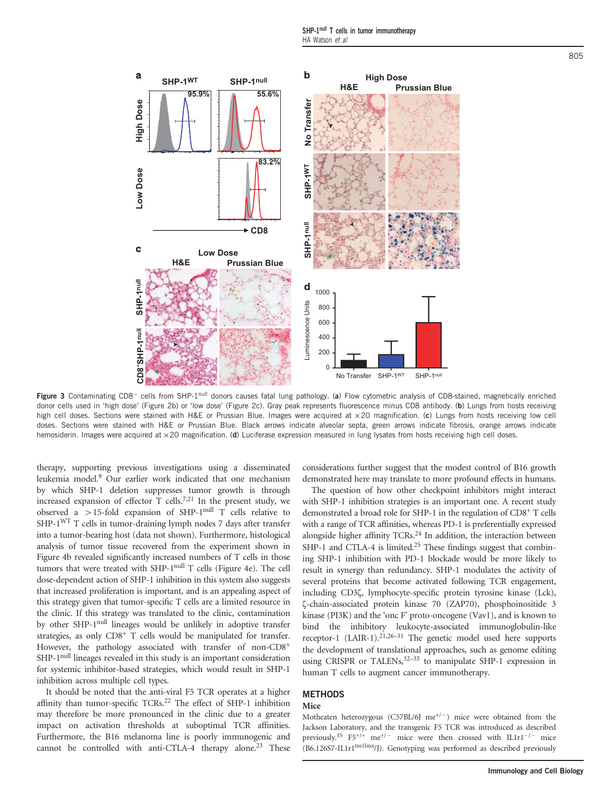<span id="page-3-0"></span>

Figure 3 Contaminating CD8<sup>−</sup> cells from SHP-1null donors causes fatal lung pathology. (a) Flow cytometric analysis of CD8-stained, magnetically enriched donor cells used in 'high dose' [\(Figure 2b](#page-2-0)) or 'low dose' [\(Figure 2c](#page-2-0)). Gray peak represents fluorescence minus CD8 antibody. (b) Lungs from hosts receiving high cell doses. Sections were stained with H&E or Prussian Blue. Images were acquired at  $\times 20$  magnification. (c) Lungs from hosts receiving low cell doses. Sections were stained with H&E or Prussian Blue. Black arrows indicate alveolar septa, green arrows indicate fibrosis, orange arrows indicate hemosiderin. Images were acquired at x20 magnification. (d) Luciferase expression measured in lung lysates from hosts receiving high cell doses.

therapy, supporting previous investigations using a disseminated leukemia model[.9](#page-5-0) Our earlier work indicated that one mechanism by which SHP-1 deletion suppresses tumor growth is through increased expansion of effector  $\overline{T}$  cells.<sup>[7](#page-5-0)[,21](#page-6-0)</sup> In the present study, we observed a  $>$ 15-fold expansion of SHP-1<sup>null</sup> T cells relative to SHP-1WT T cells in tumor-draining lymph nodes 7 days after transfer into a tumor-bearing host (data not shown). Furthermore, histological analysis of tumor tissue recovered from the experiment shown in [Figure 4b](#page-4-0) revealed significantly increased numbers of T cells in those tumors that were treated with SHP-1null T cells ([Figure 4e\)](#page-4-0). The cell dose-dependent action of SHP-1 inhibition in this system also suggests that increased proliferation is important, and is an appealing aspect of this strategy given that tumor-specific T cells are a limited resource in the clinic. If this strategy was translated to the clinic, contamination by other SHP-1null lineages would be unlikely in adoptive transfer strategies, as only CD8+ T cells would be manipulated for transfer. However, the pathology associated with transfer of non-CD8<sup>+</sup> SHP-1<sup>null</sup> lineages revealed in this study is an important consideration for systemic inhibitor-based strategies, which would result in SHP-1 inhibition across multiple cell types.

It should be noted that the anti-viral F5 TCR operates at a higher affinity than tumor-specific TCRs.<sup>[22](#page-6-0)</sup> The effect of SHP-1 inhibition may therefore be more pronounced in the clinic due to a greater impact on activation thresholds at suboptimal TCR affinities. Furthermore, the B16 melanoma line is poorly immunogenic and cannot be controlled with anti-CTLA-4 therapy alone.<sup>[23](#page-6-0)</sup> These

considerations further suggest that the modest control of B16 growth demonstrated here may translate to more profound effects in humans.

The question of how other checkpoint inhibitors might interact with SHP-1 inhibition strategies is an important one. A recent study demonstrated a broad role for SHP-1 in the regulation of CD8+ T cells with a range of TCR affinities, whereas PD-1 is preferentially expressed alongside higher affinity TCRs.<sup>24</sup> In addition, the interaction between SHP-1 and CTLA-4 is limited.<sup>25</sup> These findings suggest that combining SHP-1 inhibition with PD-1 blockade would be more likely to result in synergy than redundancy. SHP-1 modulates the activity of several proteins that become activated following TCR engagement, including CD3ζ, lymphocyte-specific protein tyrosine kinase (Lck), ζ-chain-associated protein kinase 70 (ZAP70), phosphoinositide 3 kinase (PI3K) and the 'onc F' proto-oncogene (Vav1), and is known to bind the inhibitory leukocyte-associated immunoglobulin-like receptor-1 (LAIR-1).<sup>21,26–31</sup> The genetic model used here supports the development of translational approaches, such as genome editing using CRISPR or TALENs,  $32-35$  $32-35$  to manipulate SHP-1 expression in human T cells to augment cancer immunotherapy. <sup>E</sup> 4000<br> **E** 6000<br> **E** 4000<br> **E** 4000<br> **E** 4000<br> **E** 4000, (a) Flow cytometric analys of CDS-stained, magnetically enriched<br>represents fluorescence minus CD8 antiboty. (b) Lungs from hosts receiving<br>the respective as co

# **METHODS**

# Mice

Motheaten heterozygous (C57BL/6J me<sup>+/-</sup>) mice were obtained from the Jackson Laboratory, and the transgenic F5 TCR was introduced as described **Mice**<br>**Motheaten heterozygous** (C57BL/6J me<sup>+/−</sup>) mice were obtained from the<br>Jackson Laboratory, and the transgenic F5 TCR was introduced as described<br>previously.<sup>15</sup> F5<sup>+/+</sup> me<sup>+/−</sup> mice were then crossed with IL1r1<sup>−/</sup>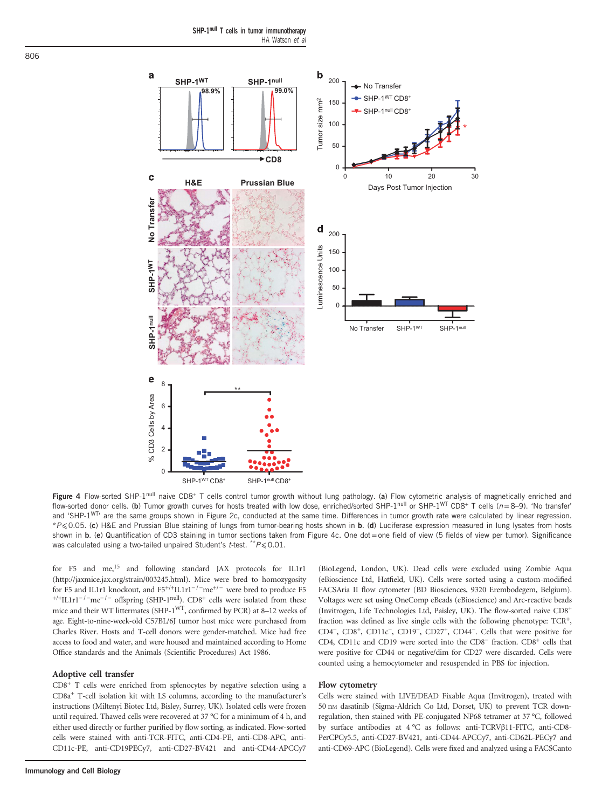<span id="page-4-0"></span>

Figure 4 Flow-sorted SHP-1<sup>null</sup> naive CD8<sup>+</sup> T cells control tumor growth without lung pathology. (a) Flow cytometric analysis of magnetically enriched and flow-sorted donor cells. (b) Tumor growth curves for hosts treated with low dose, enriched/sorted SHP-1null or SHP-1WT CD8+ T cells (n=8–9). 'No transfer' and 'SHP-1<sup>WT</sup>' are the same groups shown in [Figure 2c](#page-2-0), conducted at the same time. Differences in tumor growth rate were calculated by linear regression. \*P⩽0.05. (c) H&E and Prussian Blue staining of lungs from tumor-bearing hosts shown in b. (d) Luciferase expression measured in lung lysates from hosts shown in b. (e) Quantification of CD3 staining in tumor sections taken from Figure 4c. One dot = one field of view (5 fields of view per tumor). Significance was calculated using a two-tailed unpaired Student's  $t$ -test. \*\* $P \le 0.01$ .

for F5 and me,<sup>15</sup> and following standard JAX protocols for IL1r1 [\(http://jaxmice.jax.org/strain/003245.html](http://jaxmice.jax.org/strain/003245.html)). Mice were bred to homozygosity for F5 and me,<sup>15</sup> and following standard JAX protocols for IL1r1 (http://jaxmice.jax.org/strain/003245.html). Mice were bred to homozygosity for F5 and IL1r1 knockout, and F5<sup>+/+</sup>IL1r1<sup>-/−</sup>me<sup>+/−</sup> were bred to produce F5 for F5 and IL1r1 knockout, and  $F5^{+/+}IL1r1^{-/-}me^{+/-}$  were bred to produce F5  $^{+/+}IL1r1^{-/-}me^{-/-}$  offspring (SHP-1<sup>null</sup>). CD8<sup>+</sup> cells were isolated from these mice and their WT littermates (SHP-1WT, confirmed by PCR) at 8–12 weeks of age. Eight-to-nine-week-old C57BL/6J tumor host mice were purchased from Charles River. Hosts and T-cell donors were gender-matched. Mice had free access to food and water, and were housed and maintained according to Home Office standards and the Animals (Scientific Procedures) Act 1986.

#### Adoptive cell transfer

CD8+ T cells were enriched from splenocytes by negative selection using a CD8a+ T-cell isolation kit with LS columns, according to the manufacturer's instructions (Miltenyi Biotec Ltd, Bisley, Surrey, UK). Isolated cells were frozen until required. Thawed cells were recovered at 37 °C for a minimum of 4 h, and either used directly or further purified by flow sorting, as indicated. Flow-sorted cells were stained with anti-TCR-FITC, anti-CD4-PE, anti-CD8-APC, anti-CD11c-PE, anti-CD19PECy7, anti-CD27-BV421 and anti-CD44-APCCy7 (eBioscience Ltd, Hatfield, UK). Cells were sorted using a custom-modified FACSAria II flow cytometer (BD Biosciences, 9320 Erembodegem, Belgium). Voltages were set using OneComp eBeads (eBioscience) and Arc-reactive beads (Invitrogen, Life Technologies Ltd, Paisley, UK). The flow-sorted naive CD8+ fraction was defined as live single cells with the following phenotype: TCR+, FACSATIA II now cytometer (BD Biosciences, 9520 Eremboaegem, Belgium).<br>
Voltages were set using OneComp eBeads (eBioscience) and Arc-reactive beads<br>
(Invitrogen, Life Technologies Ltd, Paisley, UK). The flow-sorted naive C Voltages were set using OneComp ebeads (ebiosclence) and Arc-reactive beads<br>(Invitrogen, Life Technologies Ltd, Paisley, UK). The flow-sorted naive CD8<sup>+</sup><br>fraction was defined as live single cells with the following pheno were positive for CD44 or negative/dim for CD27 were discarded. Cells were counted using a hemocytometer and resuspended in PBS for injection.

(BioLegend, London, UK). Dead cells were excluded using Zombie Aqua

### Flow cytometry

Cells were stained with LIVE/DEAD Fixable Aqua (Invitrogen), treated with 50 nm dasatinib (Sigma-Aldrich Co Ltd, Dorset, UK) to prevent TCR downregulation, then stained with PE-conjugated NP68 tetramer at 37 °C, followed by surface antibodies at 4 °C as follows: anti-TCRVβ11-FITC, anti-CD8- PerCPCy5.5, anti-CD27-BV421, anti-CD44-APCCy7, anti-CD62L-PECy7 and anti-CD69-APC (BioLegend). Cells were fixed and analyzed using a FACSCanto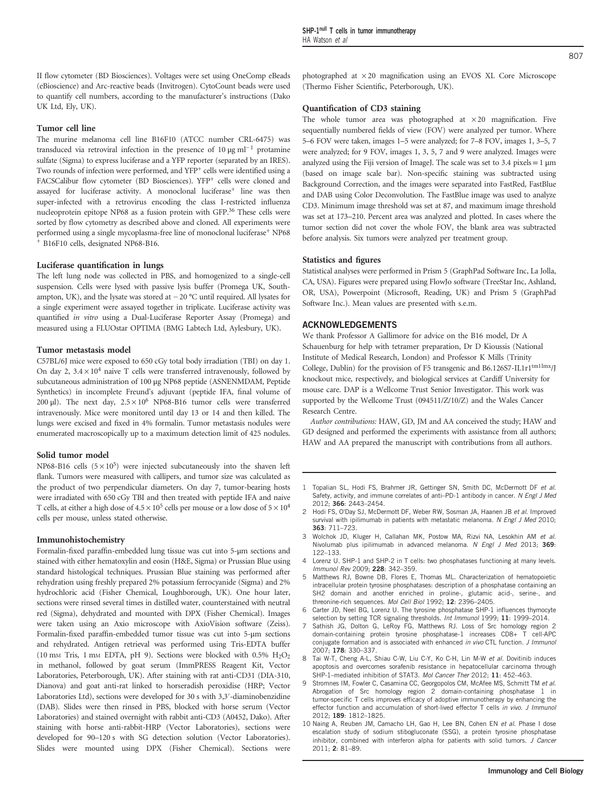<span id="page-5-0"></span>II flow cytometer (BD Biosciences). Voltages were set using OneComp eBeads (eBioscience) and Arc-reactive beads (Invitrogen). CytoCount beads were used to quantify cell numbers, according to the manufacturer's instructions (Dako UK Ltd, Ely, UK).

#### Tumor cell line

The murine melanoma cell line B16F10 (ATCC number CRL-6475) was transduced via retroviral infection in the presence of  $10 \mu g$  ml<sup>-1</sup> protamine sulfate (Sigma) to express luciferase and a YFP reporter (separated by an IRES). Two rounds of infection were performed, and YFP<sup>+</sup> cells were identified using a FACSCalibur flow cytometer (BD Biosciences). YFP<sup>+</sup> cells were cloned and assayed for luciferase activity. A monoclonal luciferase<sup>+</sup> line was then super-infected with a retrovirus encoding the class I-restricted influenza nucleoprotein epitope NP68 as a fusion protein with GFP.[36](#page-6-0) These cells were sorted by flow cytometry as described above and cloned. All experiments were performed using a single mycoplasma-free line of monoclonal luciferase<sup>+</sup> NP68 <sup>+</sup> B16F10 cells, designated NP68-B16.

#### Luciferase quantification in lungs

The left lung node was collected in PBS, and homogenized to a single-cell suspension. Cells were lysed with passive lysis buffer (Promega UK, South-FIGFTO CENS, designated INP66-D16.<br> **Luciferase quantification in lungs**<br>
The left lung node was collected in PBS, and homogenized to a single-cell<br>
suspension. Cells were lysed with passive lysis buffer (Promega UK, Sout a single experiment were assayed together in triplicate. Luciferase activity was quantified in vitro using a Dual-Luciferase Reporter Assay (Promega) and measured using a FLUOstar OPTIMA (BMG Labtech Ltd, Aylesbury, UK).

#### Tumor metastasis model

C57BL/6J mice were exposed to 650 cGy total body irradiation (TBI) on day 1. On day 2,  $3.4 \times 10^4$  naive T cells were transferred intravenously, followed by subcutaneous administration of 100 μg NP68 peptide (ASNENMDAM, Peptide Synthetics) in incomplete Freund's adjuvant (peptide IFA, final volume of 200 μl). The next day,  $2.5 \times 10^6$  NP68-B16 tumor cells were transferred intravenously. Mice were monitored until day 13 or 14 and then killed. The lungs were excised and fixed in 4% formalin. Tumor metastasis nodules were enumerated macroscopically up to a maximum detection limit of 425 nodules.

#### Solid tumor model

NP68-B16 cells  $(5 \times 10^5)$  were injected subcutaneously into the shaven left flank. Tumors were measured with callipers, and tumor size was calculated as the product of two perpendicular diameters. On day 7, tumor-bearing hosts were irradiated with 650 cGy TBI and then treated with peptide IFA and naive T cells, at either a high dose of  $4.5 \times 10^5$  cells per mouse or a low dose of  $5 \times 10^4$ cells per mouse, unless stated otherwise.

#### Immunohistochemistry

Formalin-fixed paraffin-embedded lung tissue was cut into 5-μm sections and stained with either hematoxylin and eosin (H&E, Sigma) or Prussian Blue using standard histological techniques. Prussian Blue staining was performed after rehydration using freshly prepared 2% potassium ferrocyanide (Sigma) and 2% hydrochloric acid (Fisher Chemical, Loughborough, UK). One hour later, sections were rinsed several times in distilled water, counterstained with neutral red (Sigma), dehydrated and mounted with DPX (Fisher Chemical). Images were taken using an Axio microscope with AxioVision software (Zeiss). Formalin-fixed paraffin-embedded tumor tissue was cut into 5-μm sections and rehydrated. Antigen retrieval was performed using Tris-EDTA buffer (10 mm Tris, 1 mm EDTA, pH 9). Sections were blocked with  $0.5\%$   $H_2O_2$ in methanol, followed by goat serum (ImmPRESS Reagent Kit, Vector Laboratories, Peterborough, UK). After staining with rat anti-CD31 (DIA-310, Dianova) and goat anti-rat linked to horseradish peroxidise (HRP; Vector Laboratories Ltd), sections were developed for 30 s with 3,3′-diaminobenzidine (DAB). Slides were then rinsed in PBS, blocked with horse serum (Vector Laboratories) and stained overnight with rabbit anti-CD3 (A0452, Dako). After staining with horse anti-rabbit-HRP (Vector Laboratories), sections were developed for 90–120 s with SG detection solution (Vector Laboratories). Slides were mounted using DPX (Fisher Chemical). Sections were photographed at × 20 magnification using an EVOS XL Core Microscope (Thermo Fisher Scientific, Peterborough, UK).

#### Quantification of CD3 staining

The whole tumor area was photographed at  $\times 20$  magnification. Five sequentially numbered fields of view (FOV) were analyzed per tumor. Where 5–6 FOV were taken, images 1–5 were analyzed; for 7–8 FOV, images 1, 3–5, 7 were analyzed; for 9 FOV, images 1, 3, 5, 7 and 9 were analyzed. Images were analyzed using the Fiji version of ImageJ. The scale was set to 3.4 pixels =  $1 \mu m$ (based on image scale bar). Non-specific staining was subtracted using Background Correction, and the images were separated into FastRed, FastBlue and DAB using Color Deconvolution. The FastBlue image was used to analyze CD3. Minimum image threshold was set at 87, and maximum image threshold was set at 173–210. Percent area was analyzed and plotted. In cases where the tumor section did not cover the whole FOV, the blank area was subtracted before analysis. Six tumors were analyzed per treatment group.

#### Statistics and figures

Statistical analyses were performed in Prism 5 (GraphPad Software Inc, La Jolla, CA, USA). Figures were prepared using FlowJo software (TreeStar Inc, Ashland, OR, USA), Powerpoint (Microsoft, Reading, UK) and Prism 5 (GraphPad Software Inc.). Mean values are presented with s.e.m.

#### ACKNOWLEDGEMENTS

We thank Professor A Gallimore for advice on the B16 model, Dr A Schauenburg for help with tetramer preparation, Dr D Kioussis (National Institute of Medical Research, London) and Professor K Mills (Trinity College, Dublin) for the provision of F5 transgenic and B6.126S7-IL1r1<sup>tm1Imx</sup>/J knockout mice, respectively, and biological services at Cardiff University for mouse care. DAP is a Wellcome Trust Senior Investigator. This work was supported by the Wellcome Trust (094511/Z/10/Z) and the Wales Cancer Research Centre.

Author contributions: HAW, GD, JM and AA conceived the study; HAW and GD designed and performed the experiments with assistance from all authors; HAW and AA prepared the manuscript with contributions from all authors.

- 1 Topalian SL, Hodi FS, Brahmer JR, Gettinger SN, Smith DC, McDermott DF et al. Safety, activity, and immune correlates of anti-PD-1 antibody in cancer. N Engl J Med 2012; 366: 2443–2454.
- 2 Hodi FS, O'Day SJ, McDermott DF, Weber RW, Sosman JA, Haanen JB et al. Improved survival with ipilimumab in patients with metastatic melanoma. N Engl J Med 2010; 363: 711–723.
- Wolchok JD, Kluger H, Callahan MK, Postow MA, Rizvi NA, Lesokhin AM et al. Nivolumab plus ipilimumab in advanced melanoma. N Engl J Med 2013; 369: 122–133.
- 4 Lorenz U. SHP-1 and SHP-2 in T cells: two phosphatases functioning at many levels. Immunol Rev 2009; 228: 342–359.
- 5 Matthews RJ, Bowne DB, Flores E, Thomas ML. Characterization of hematopoietic intracellular protein tyrosine phosphatases: description of a phosphatase containing an SH2 domain and another enriched in proline-, glutamic acid-, serine-, and threonine-rich sequences. Mol Cell Biol 1992; 12: 2396–2405.
- Carter JD, Neel BG, Lorenz U. The tyrosine phosphatase SHP-1 influences thymocyte selection by setting TCR signaling thresholds. Int Immunol 1999; 11: 1999–2014.
- Sathish JG, Dolton G, LeRoy FG, Matthews RJ. Loss of Src homology region 2 domain-containing protein tyrosine phosphatase-1 increases CD8+ T cell-APC conjugate formation and is associated with enhanced *in vivo* CTL function. *J Immunol* 2007; 178: 330–337.
- 8 Tai W-T, Cheng A-L, Shiau C-W, Liu C-Y, Ko C-H, Lin M-W et al. Dovitinib induces apoptosis and overcomes sorafenib resistance in hepatocellular carcinoma through SHP-1–mediated inhibition of STAT3. Mol Cancer Ther 2012; 11: 452–463.
- 9 Stromnes IM, Fowler C, Casamina CC, Georgopolos CM, McAfee MS, Schmitt TM et al. Abrogation of Src homology region 2 domain-containing phosphatase 1 in tumor-specific T cells improves efficacy of adoptive immunotherapy by enhancing the effector function and accumulation of short-lived effector T cells in vivo. J Immunol 2012; 189: 1812–1825.
- 10 Naing A, Reuben JM, Camacho LH, Gao H, Lee BN, Cohen EN et al. Phase I dose escalation study of sodium stibogluconate (SSG), a protein tyrosine phosphatase inhibitor, combined with interferon alpha for patients with solid tumors. J Cancer 2011; 2: 81–89.